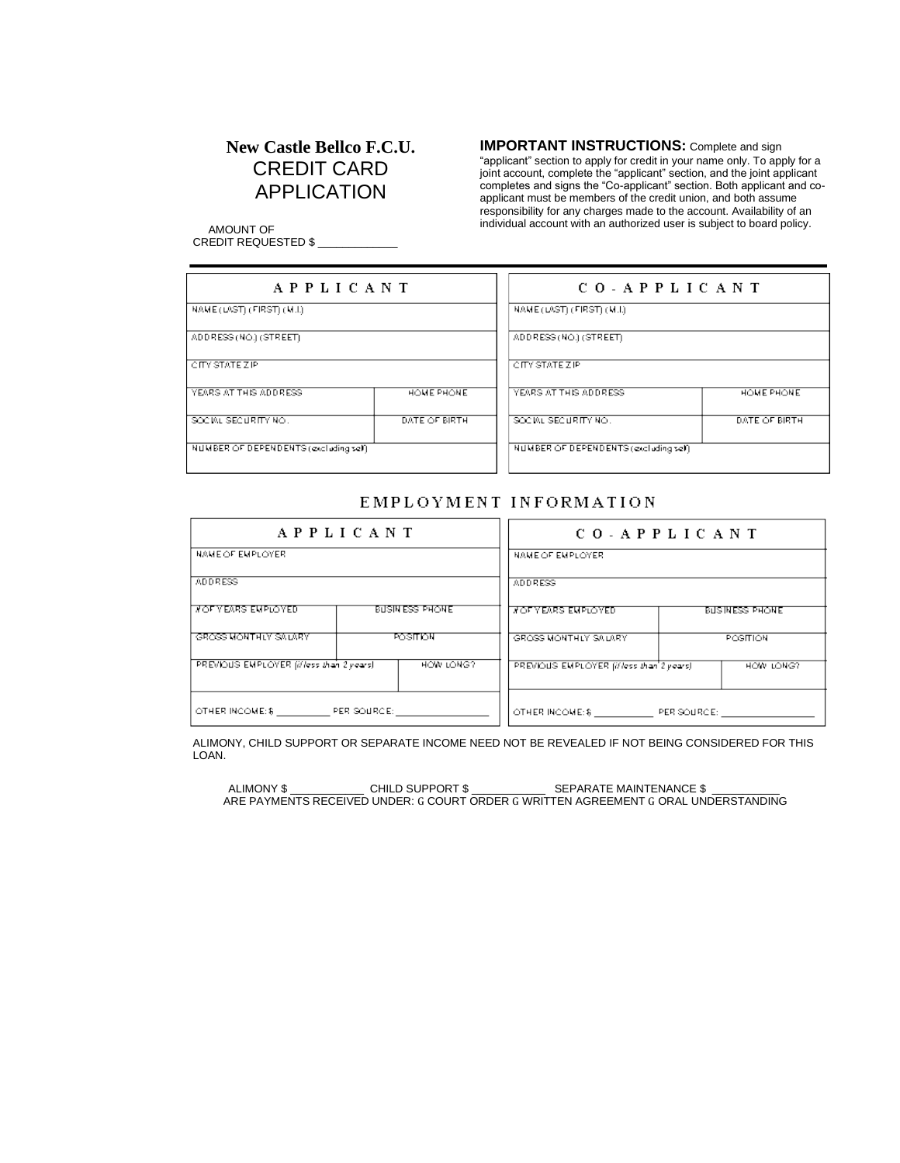# **New Castle Bellco F.C.U.** CREDIT CARD APPLICATION

**IMPORTANT INSTRUCTIONS:** Complete and sign

"applicant" section to apply for credit in your name only. To apply for a joint account, complete the "applicant" section, and the joint applicant completes and signs the "Co-applicant" section. Both applicant and coapplicant must be members of the credit union, and both assume responsibility for any charges made to the account. Availability of an individual account with an authorized user is subject to board policy.

 AMOUNT OF CREDIT REQUESTED \$ \_\_\_\_\_\_\_\_\_\_\_\_\_

| APPLICANT                             |                | CO-APPLICANT                          |               |  |
|---------------------------------------|----------------|---------------------------------------|---------------|--|
| NAME (LAST) (FIRST) (M.I.)            |                | NAME (LAST) (FIRST) (M.I.)            |               |  |
| ADDRESS (NO.) (STREET).               |                | ADDRESS (NO.) (STREET)                |               |  |
| <b>CITY STATE ZIP</b>                 |                | CITY STATE ZIP                        |               |  |
| YEARS AT THIS ADDRESS.                | HOME PHONE     | YEARS AT THIS ADDRESS.                | HOME PHONE    |  |
| SOCIAL SECURITY NO.                   | DATE OF BIRTH. | SOCIAL SECURITY NO.                   | DATE OF BIRTH |  |
| NUMBER OF DEPENDENTS (excluding self) |                | NUMBER OF DEPENDENTS (excluding self) |               |  |

### EMPLOYMENT INFORMATION

| APPLICANT                                |                        | CO - APPLICANT                           |                       |  |  |
|------------------------------------------|------------------------|------------------------------------------|-----------------------|--|--|
| NAME OF EMPLOYER.                        |                        | NAME OF EMPLOYER                         |                       |  |  |
| <b>ADDRESS</b>                           |                        | <b>ADDRESS</b>                           |                       |  |  |
| <b><i>NOF YEARS EMPLOYED.</i></b>        | <b>BUSIN ESS PHONE</b> | <b>MOF YEARS EMPLOYED</b>                | <b>BUSINESS PHONE</b> |  |  |
| GROSS MONTHLY SALARY                     | <b>POSITION</b>        | GROSS MONTHLY SALARY                     | POSITION              |  |  |
| PREVIOUS EMPLOYER (illess than 2 years). | HOW LONG?              | PREVIOUS EMPLOYER (il less than 2 years) | HOW LONG?             |  |  |
| OTHER INCOME: \$PER SOURCE:              |                        | OTHER INCOME: \$ PER SOURCE:             |                       |  |  |

ALIMONY, CHILD SUPPORT OR SEPARATE INCOME NEED NOT BE REVEALED IF NOT BEING CONSIDERED FOR THIS LOAN.

ALIMONY \$ \_\_\_\_\_\_\_\_\_\_\_\_ CHILD SUPPORT \$ \_\_\_\_\_\_\_\_\_\_\_\_ SEPARATE MAINTENANCE \$ \_\_\_\_\_\_\_\_\_\_\_ ARE PAYMENTS RECEIVED UNDER: G COURT ORDER G WRITTEN AGREEMENT G ORAL UNDERSTANDING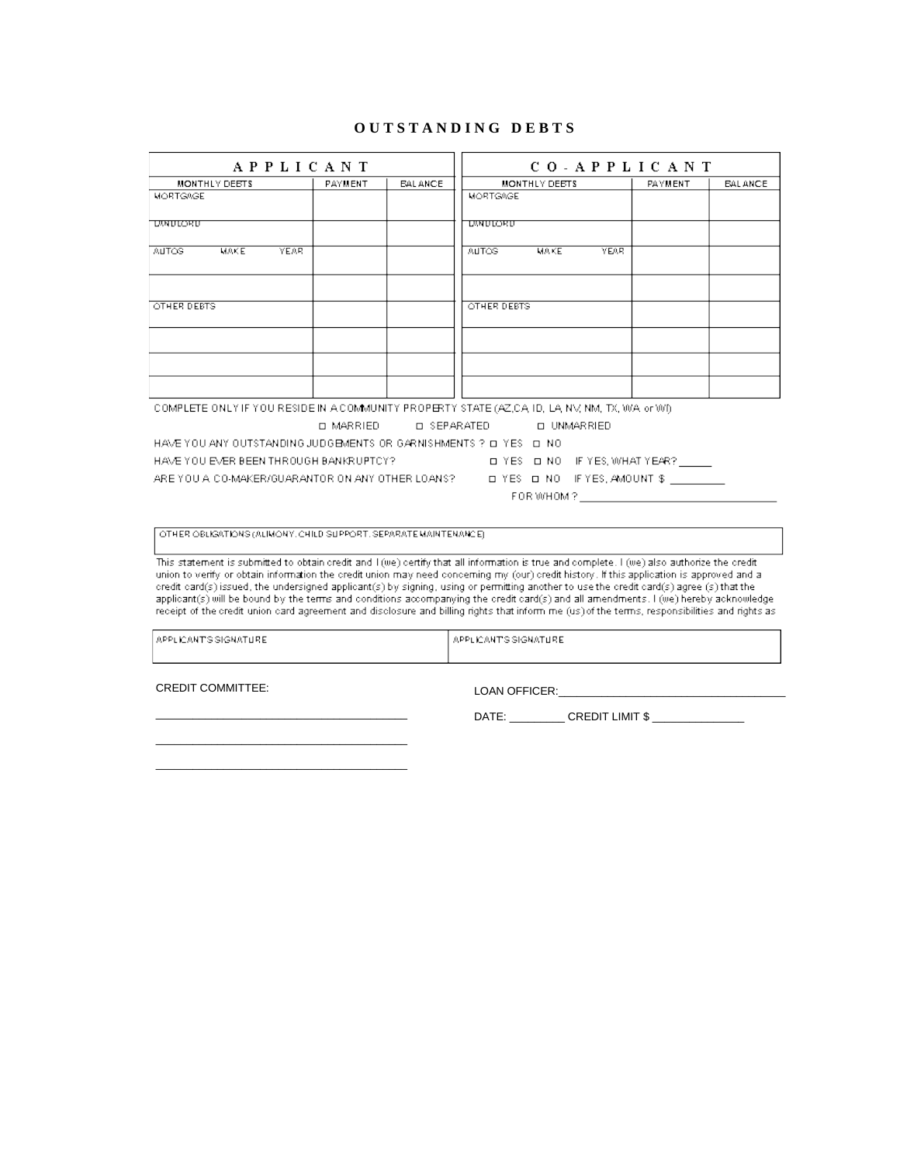#### OUTSTANDING DEBTS  $\overline{a}$

| <b>APPLICANT</b>                                                                                                                                                                                                                                                                 |                  | CO-APPLICANT       |                    |                      |         |                |
|----------------------------------------------------------------------------------------------------------------------------------------------------------------------------------------------------------------------------------------------------------------------------------|------------------|--------------------|--------------------|----------------------|---------|----------------|
| <b>MONTHLY DEBTS</b>                                                                                                                                                                                                                                                             | PAYMENT          | <b>EALANCE</b>     |                    | <b>MONTHLY DEBTS</b> | PAYMENT | <b>EALANCE</b> |
| MORTGAGE                                                                                                                                                                                                                                                                         |                  |                    | MORTGAGE           |                      |         |                |
| UNNULORU                                                                                                                                                                                                                                                                         |                  |                    | UMULORU            |                      |         |                |
|                                                                                                                                                                                                                                                                                  |                  |                    |                    |                      |         |                |
| AUTOS <sup>1</sup><br>MAKE<br><b>YEAR</b>                                                                                                                                                                                                                                        |                  |                    | <b>AUTOS</b>       | <b>MAKE</b><br>YEAR. |         |                |
|                                                                                                                                                                                                                                                                                  |                  |                    |                    |                      |         |                |
| <b>OTHER DEBTS</b>                                                                                                                                                                                                                                                               |                  |                    | <b>OTHER DEBTS</b> |                      |         |                |
|                                                                                                                                                                                                                                                                                  |                  |                    |                    |                      |         |                |
|                                                                                                                                                                                                                                                                                  |                  |                    |                    |                      |         |                |
|                                                                                                                                                                                                                                                                                  |                  |                    |                    |                      |         |                |
| COMPLETE ONLY IF YOU RESIDE IN A COMMUNITY PROPERTY STATE (AZ,CA ID, LA, NV, NM, TX, WA or WI).                                                                                                                                                                                  |                  |                    |                    |                      |         |                |
|                                                                                                                                                                                                                                                                                  | <b>D MARRIED</b> | <b>O SEPARATED</b> |                    | <b>O UNMARRIED</b>   |         |                |
| HAVE YOU ANY OUTSTANDING JUDGEMENTS OR GARNISHMENTS ? O YES O NO                                                                                                                                                                                                                 |                  |                    |                    |                      |         |                |
| HAVE YOU EVER BEEN THROUGH BANKRUPTCY?<br>LE YES LEINO IF YES, WHAT YEAR?                                                                                                                                                                                                        |                  |                    |                    |                      |         |                |
| DYES DINO IFYES, AMOUNT \$<br>ARE YOU A CO-MAKER/GUARANTOR ON ANY OTHER LOANS?                                                                                                                                                                                                   |                  |                    |                    |                      |         |                |
|                                                                                                                                                                                                                                                                                  |                  |                    |                    | FOR WHOM ?           |         |                |
|                                                                                                                                                                                                                                                                                  |                  |                    |                    |                      |         |                |
| OTHER OBLIGATIONS (ALIMONY, CHILD SUPPORT, SEPARATE MAINTENANCE).                                                                                                                                                                                                                |                  |                    |                    |                      |         |                |
| This statement is submitted to obtain credit and I (we) certify that all information is true and complete. I (we) also authorize the credit                                                                                                                                      |                  |                    |                    |                      |         |                |
| union to verify or obtain information the credit union may need concerning my (our) credit history. If this application is approved and a                                                                                                                                        |                  |                    |                    |                      |         |                |
| credit card(s) issued, the undersigned applicant(s) by signing, using or permitting another to use the credit card(s) agree (s) that the<br>applicant(s) will be bound by the terms and conditions accompanying the credit card(s) and all amendments. I (we) hereby acknowledge |                  |                    |                    |                      |         |                |

receipt of the credit union card agreement and disclosure and billing rights that inform me (us) of the terms, responsibilities and rights as

| LAPPLICANT'S SIGNATURE. | LAPPLICANT'S SIGNATURE. |
|-------------------------|-------------------------|
|                         |                         |

CREDIT COMMITTEE:

LOAN OFFICER:

DATE: \_\_\_\_\_\_\_\_\_\_\_ CREDIT LIMIT \$ \_\_\_\_\_\_\_\_\_\_\_\_\_\_\_

 $\overline{\phantom{a}}$ 

 $\overline{\phantom{0}}$